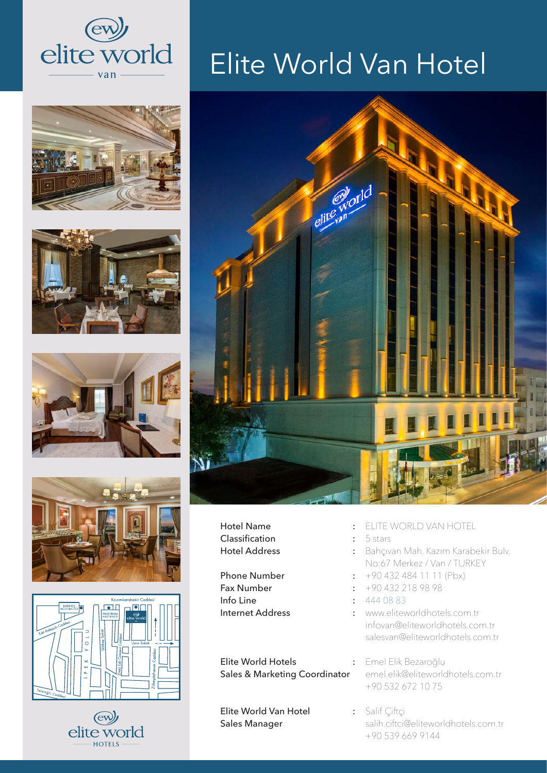













## Elite World Van Hotel



Hotel Name : Classification : Hotel Address :

Phone Number : The state of the state of the state of the state of the state of the state of the state of the state of the state of the state of the state of the state of the state of the state of the state of the state of Fax Number : Info Line : Internet Address :

Elite World Hotels : Sales & Marketing Coordinator

Elite World Van Hotel : Sales Manager

- ELITE WORLD VAN HOTEL
- 5 stars
- Bahçıvan Mah. Kazım Karabekir Bulv. No:67 Merkez / Van / TURKEY
	- +90 432 484 11 11 (Pbx)
- +90 432 218 98 98
- 444 08 83
- www.eliteworldhotels.com.tr infovan@eliteworldhotels.com.tr salesvan@eliteworldhotels.com.tr

Emel Elik Bezaroğlu emel.elik@eliteworldhotels.com.tr +90 532 672 10 75

Salif Çiftçi salih.ciftci@eliteworldhotels.com.tr +90 539 669 9144